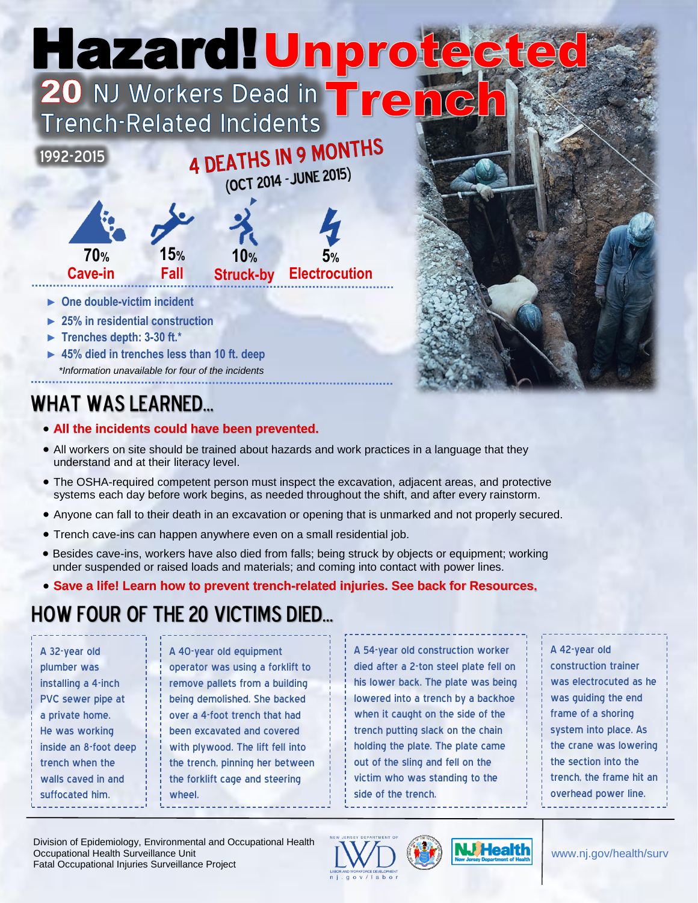# Hazard! Unprote G



- ► **One double-victim incident**
- ► **25% in residential construction**
- ► **Trenches depth: 3-30 ft.\***
- ► **45% died in trenches less than 10 ft. deep** *\*Information unavailable for four of the incidents*

# WHAT WAS LEARNED...

- **All the incidents could have been prevented.**
- All workers on site should be trained about hazards and work practices in a language that they understand and at their literacy level.
- The OSHA-required competent person must inspect the excavation, adjacent areas, and protective systems each day before work begins, as needed throughout the shift, and after every rainstorm.
- Anyone can fall to their death in an excavation or opening that is unmarked and not properly secured.
- Trench cave-ins can happen anywhere even on a small residential job.
- Besides cave-ins, workers have also died from falls; being struck by objects or equipment; working under suspended or raised loads and materials; and coming into contact with power lines.
- **Save a life! Learn how to prevent trench-related injuries. See back for Resources.**

## how four of the 20 victims Died…

A 32-year old plumber was installing a 4-inch PVC sewer pipe at a private home. He was working inside an 8-foot deep trench when the walls caved in and suffocated him.

A 40-year old equipment operator was using a forklift to remove pallets from a building being demolished. She backed over a 4-foot trench that had been excavated and covered with plywood. The lift fell into the trench, pinning her between the forklift cage and steering wheel.

A 54-year old construction worker died after a 2-ton steel plate fell on his lower back. The plate was being lowered into a trench by a backhoe when it caught on the side of the trench putting slack on the chain holding the plate. The plate came out of the sling and fell on the victim who was standing to the side of the trench.

A 42-year old construction trainer was electrocuted as he was guiding the end frame of a shoring system into place. As the crane was lowering the section into the trench, the frame hit an overhead power line.

Division of Epidemiology, Environmental and Occupational Health Occupational Health Surveillance Unit Fatal Occupational Injuries Surveillance Project





www.nj.gov/health/surv